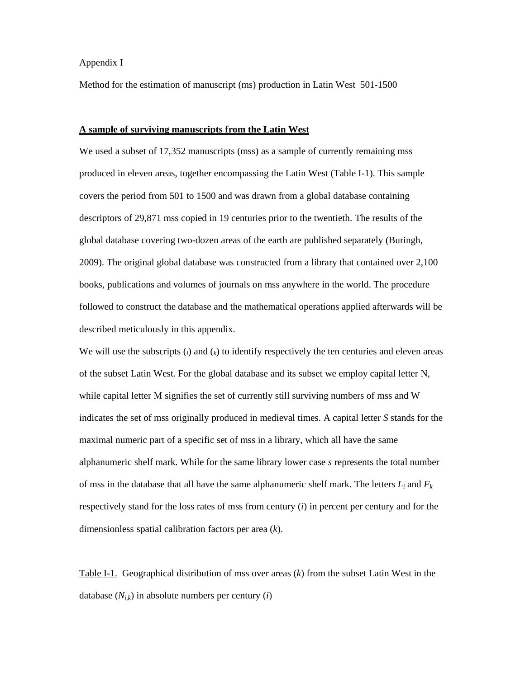# Appendix I

Method for the estimation of manuscript (ms) production in Latin West 501-1500

### **A sample of surviving manuscripts from the Latin West**

We used a subset of 17,352 manuscripts (mss) as a sample of currently remaining mss produced in eleven areas, together encompassing the Latin West (Table I-1). This sample covers the period from 501 to 1500 and was drawn from a global database containing descriptors of 29,871 mss copied in 19 centuries prior to the twentieth. The results of the global database covering two-dozen areas of the earth are published separately (Buringh, 2009). The original global database was constructed from a library that contained over 2,100 books, publications and volumes of journals on mss anywhere in the world. The procedure followed to construct the database and the mathematical operations applied afterwards will be described meticulously in this appendix.

We will use the subscripts  $(i)$  and  $(k)$  to identify respectively the ten centuries and eleven areas of the subset Latin West. For the global database and its subset we employ capital letter N, while capital letter M signifies the set of currently still surviving numbers of mss and W indicates the set of mss originally produced in medieval times. A capital letter *S* stands for the maximal numeric part of a specific set of mss in a library, which all have the same alphanumeric shelf mark. While for the same library lower case *s* represents the total number of mss in the database that all have the same alphanumeric shelf mark. The letters  $L_i$  and  $F_k$ respectively stand for the loss rates of mss from century (*i*) in percent per century and for the dimensionless spatial calibration factors per area (*k*).

Table I-1. Geographical distribution of mss over areas (*k*) from the subset Latin West in the database  $(N_{ik})$  in absolute numbers per century *(i)*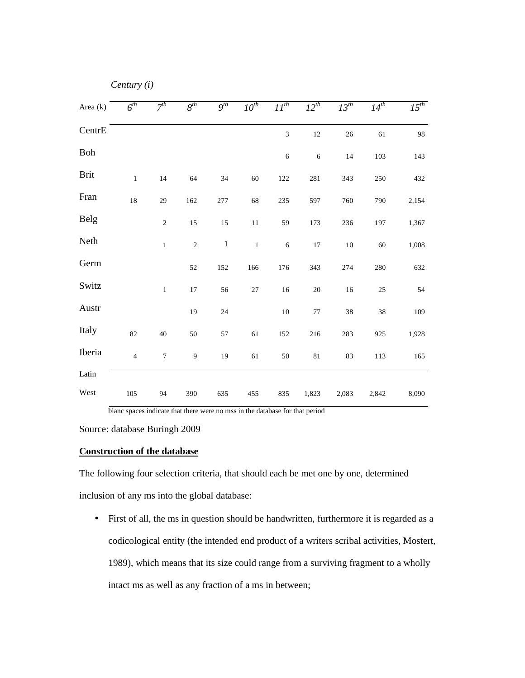| Area (k)    | $6^{th}$       | 7 <sup>th</sup>  | $8^{th}$         | $9^{th}$ | $10^{th}$ | $II^{th}$  | $12^{th}$ | $13^{th}$ | $14^{th}$ | $15^{th}$ |  |  |
|-------------|----------------|------------------|------------------|----------|-----------|------------|-----------|-----------|-----------|-----------|--|--|
| CentrE      |                |                  |                  |          |           | 3          | $12\,$    | 26        | 61        | 98        |  |  |
| ${\bf Boh}$ |                |                  |                  |          |           | $\sqrt{6}$ | 6         | 14        | 103       | 143       |  |  |
| <b>Brit</b> | $\,1\,$        | 14               | 64               | 34       | 60        | 122        | 281       | 343       | 250       | 432       |  |  |
| Fran        | 18             | 29               | 162              | 277      | 68        | 235        | 597       | 760       | 790       | 2,154     |  |  |
| Belg        |                | $\sqrt{2}$       | 15               | 15       | $11\,$    | 59         | 173       | 236       | 197       | 1,367     |  |  |
| Neth        |                | $\,1\,$          | $\sqrt{2}$       | $\,1$    | $\,1\,$   | $\sqrt{6}$ | $17\,$    | $10\,$    | 60        | 1,008     |  |  |
| Germ        |                |                  | 52               | 152      | 166       | 176        | 343       | 274       | 280       | 632       |  |  |
| Switz       |                | $\,1\,$          | $17\,$           | 56       | $27\,$    | 16         | $20\,$    | 16        | 25        | 54        |  |  |
| Austr       |                |                  | 19               | 24       |           | 10         | $77 \,$   | 38        | 38        | 109       |  |  |
| Italy       | 82             | 40               | 50               | 57       | 61        | 152        | 216       | 283       | 925       | 1,928     |  |  |
| Iberia      | $\overline{4}$ | $\boldsymbol{7}$ | $\boldsymbol{9}$ | 19       | 61        | $50\,$     | $81\,$    | 83        | 113       | 165       |  |  |
| Latin       |                |                  |                  |          |           |            |           |           |           |           |  |  |
| West        | 105            | 94               | 390              | 635      | 455       | 835        | 1,823     | 2,083     | 2,842     | 8,090     |  |  |

*Century (i)* 

blanc spaces indicate that there were no mss in the database for that period

Source: database Buringh 2009

## **Construction of the database**

The following four selection criteria, that should each be met one by one, determined inclusion of any ms into the global database:

• First of all, the ms in question should be handwritten, furthermore it is regarded as a codicological entity (the intended end product of a writers scribal activities, Mostert, 1989), which means that its size could range from a surviving fragment to a wholly intact ms as well as any fraction of a ms in between;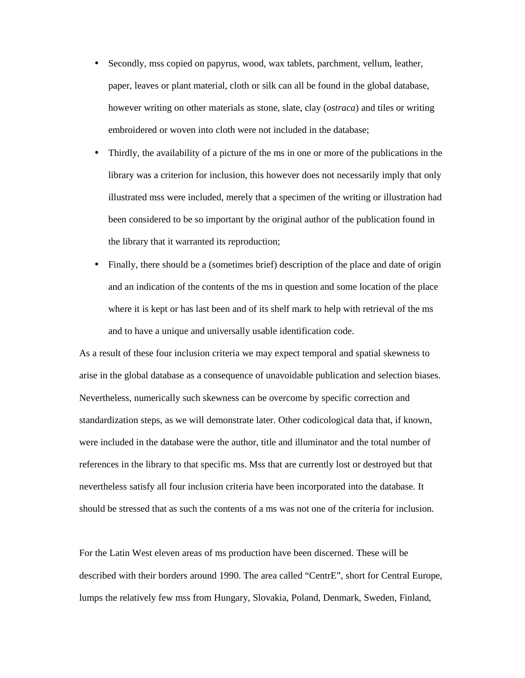- Secondly, mss copied on papyrus, wood, wax tablets, parchment, vellum, leather, paper, leaves or plant material, cloth or silk can all be found in the global database, however writing on other materials as stone, slate, clay (*ostraca*) and tiles or writing embroidered or woven into cloth were not included in the database;
- Thirdly, the availability of a picture of the ms in one or more of the publications in the library was a criterion for inclusion, this however does not necessarily imply that only illustrated mss were included, merely that a specimen of the writing or illustration had been considered to be so important by the original author of the publication found in the library that it warranted its reproduction;
- Finally, there should be a (sometimes brief) description of the place and date of origin and an indication of the contents of the ms in question and some location of the place where it is kept or has last been and of its shelf mark to help with retrieval of the ms and to have a unique and universally usable identification code.

As a result of these four inclusion criteria we may expect temporal and spatial skewness to arise in the global database as a consequence of unavoidable publication and selection biases. Nevertheless, numerically such skewness can be overcome by specific correction and standardization steps, as we will demonstrate later. Other codicological data that, if known, were included in the database were the author, title and illuminator and the total number of references in the library to that specific ms. Mss that are currently lost or destroyed but that nevertheless satisfy all four inclusion criteria have been incorporated into the database. It should be stressed that as such the contents of a ms was not one of the criteria for inclusion.

For the Latin West eleven areas of ms production have been discerned. These will be described with their borders around 1990. The area called "CentrE", short for Central Europe, lumps the relatively few mss from Hungary, Slovakia, Poland, Denmark, Sweden, Finland,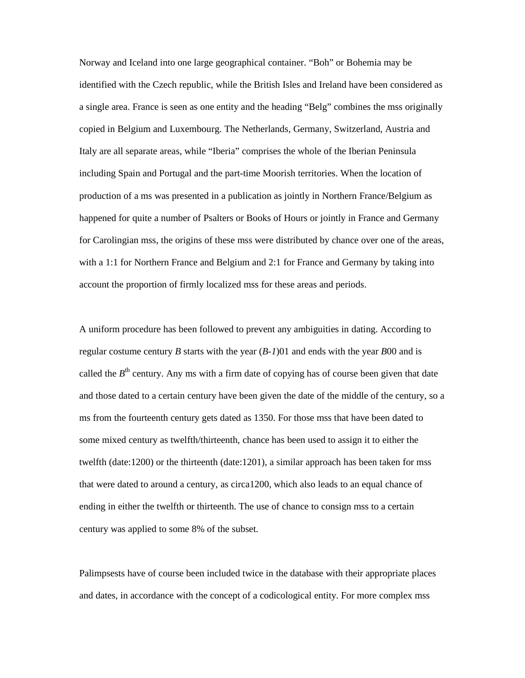Norway and Iceland into one large geographical container. "Boh" or Bohemia may be identified with the Czech republic, while the British Isles and Ireland have been considered as a single area. France is seen as one entity and the heading "Belg" combines the mss originally copied in Belgium and Luxembourg. The Netherlands, Germany, Switzerland, Austria and Italy are all separate areas, while "Iberia" comprises the whole of the Iberian Peninsula including Spain and Portugal and the part-time Moorish territories. When the location of production of a ms was presented in a publication as jointly in Northern France/Belgium as happened for quite a number of Psalters or Books of Hours or jointly in France and Germany for Carolingian mss, the origins of these mss were distributed by chance over one of the areas, with a 1:1 for Northern France and Belgium and 2:1 for France and Germany by taking into account the proportion of firmly localized mss for these areas and periods.

A uniform procedure has been followed to prevent any ambiguities in dating. According to regular costume century *B* starts with the year (*B-1*)01 and ends with the year *B*00 and is called the  $B<sup>th</sup>$  century. Any ms with a firm date of copying has of course been given that date and those dated to a certain century have been given the date of the middle of the century, so a ms from the fourteenth century gets dated as 1350. For those mss that have been dated to some mixed century as twelfth/thirteenth, chance has been used to assign it to either the twelfth (date:1200) or the thirteenth (date:1201), a similar approach has been taken for mss that were dated to around a century, as circa1200, which also leads to an equal chance of ending in either the twelfth or thirteenth. The use of chance to consign mss to a certain century was applied to some 8% of the subset.

Palimpsests have of course been included twice in the database with their appropriate places and dates, in accordance with the concept of a codicological entity. For more complex mss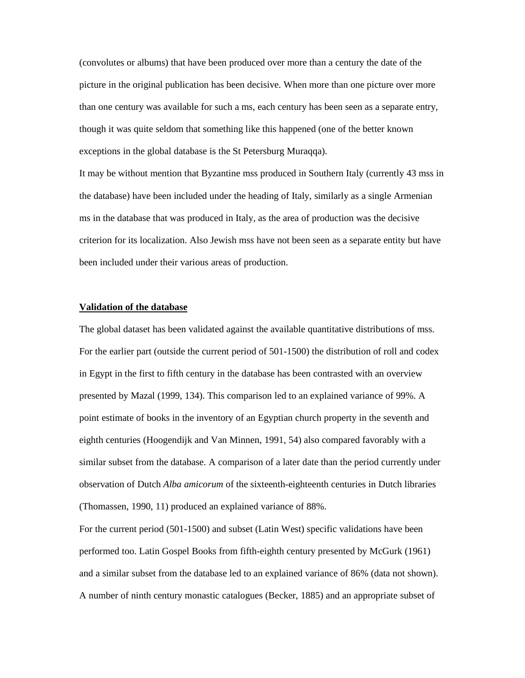(convolutes or albums) that have been produced over more than a century the date of the picture in the original publication has been decisive. When more than one picture over more than one century was available for such a ms, each century has been seen as a separate entry, though it was quite seldom that something like this happened (one of the better known exceptions in the global database is the St Petersburg Muraqqa).

It may be without mention that Byzantine mss produced in Southern Italy (currently 43 mss in the database) have been included under the heading of Italy, similarly as a single Armenian ms in the database that was produced in Italy, as the area of production was the decisive criterion for its localization. Also Jewish mss have not been seen as a separate entity but have been included under their various areas of production.

### **Validation of the database**

The global dataset has been validated against the available quantitative distributions of mss. For the earlier part (outside the current period of 501-1500) the distribution of roll and codex in Egypt in the first to fifth century in the database has been contrasted with an overview presented by Mazal (1999, 134). This comparison led to an explained variance of 99%. A point estimate of books in the inventory of an Egyptian church property in the seventh and eighth centuries (Hoogendijk and Van Minnen, 1991, 54) also compared favorably with a similar subset from the database. A comparison of a later date than the period currently under observation of Dutch *Alba amicorum* of the sixteenth-eighteenth centuries in Dutch libraries (Thomassen, 1990, 11) produced an explained variance of 88%.

For the current period (501-1500) and subset (Latin West) specific validations have been performed too. Latin Gospel Books from fifth-eighth century presented by McGurk (1961) and a similar subset from the database led to an explained variance of 86% (data not shown). A number of ninth century monastic catalogues (Becker, 1885) and an appropriate subset of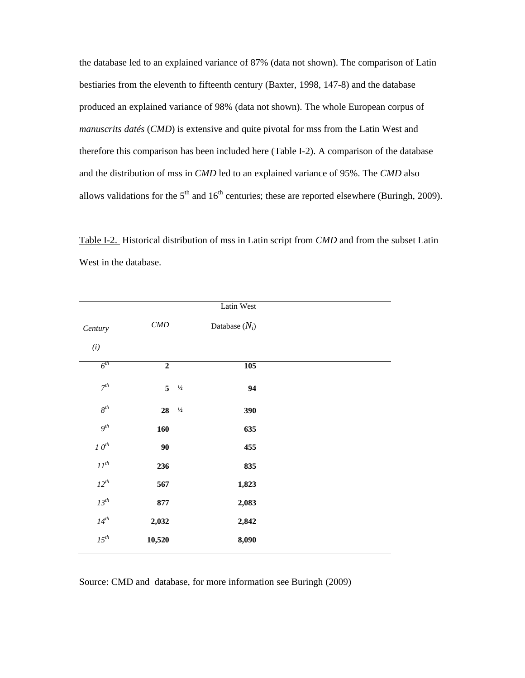the database led to an explained variance of 87% (data not shown). The comparison of Latin bestiaries from the eleventh to fifteenth century (Baxter, 1998, 147-8) and the database produced an explained variance of 98% (data not shown). The whole European corpus of *manuscrits datés* (*CMD*) is extensive and quite pivotal for mss from the Latin West and therefore this comparison has been included here (Table I-2). A comparison of the database and the distribution of mss in *CMD* led to an explained variance of 95%. The *CMD* also allows validations for the  $5<sup>th</sup>$  and  $16<sup>th</sup>$  centuries; these are reported elsewhere (Buringh, 2009).

Table I-2. Historical distribution of mss in Latin script from *CMD* and from the subset Latin West in the database.

|                    |                     |               | Latin West       |  |
|--------------------|---------------------|---------------|------------------|--|
| Century            | $\mathcal{C\!M\!D}$ |               | Database $(N_i)$ |  |
| (i)                |                     |               |                  |  |
| $6^{th}$           | $\boldsymbol{2}$    |               | 105              |  |
| $7^{th}$           | $5\overline{)}$     | $1\!/\!_2$    | 94               |  |
| $8^{th}$           | 28                  | $\frac{1}{2}$ | 390              |  |
| $9^{th}$           | 160                 |               | 635              |  |
| $10^{th}$          | $90\,$              |               | 455              |  |
| $II^{\rm \it th}$  | 236                 |               | 835              |  |
| $12^{th}$          | 567                 |               | 1,823            |  |
| $13^{\textit{th}}$ | 877                 |               | 2,083            |  |
| $14^{th}$          | 2,032               |               | 2,842            |  |
| $15^{th}$          | 10,520              |               | 8,090            |  |

Source: CMD and database, for more information see Buringh (2009)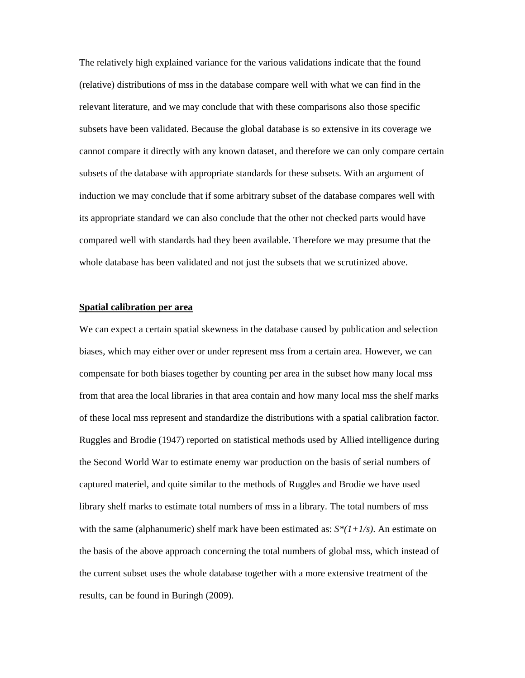The relatively high explained variance for the various validations indicate that the found (relative) distributions of mss in the database compare well with what we can find in the relevant literature, and we may conclude that with these comparisons also those specific subsets have been validated. Because the global database is so extensive in its coverage we cannot compare it directly with any known dataset, and therefore we can only compare certain subsets of the database with appropriate standards for these subsets. With an argument of induction we may conclude that if some arbitrary subset of the database compares well with its appropriate standard we can also conclude that the other not checked parts would have compared well with standards had they been available. Therefore we may presume that the whole database has been validated and not just the subsets that we scrutinized above.

### **Spatial calibration per area**

We can expect a certain spatial skewness in the database caused by publication and selection biases, which may either over or under represent mss from a certain area. However, we can compensate for both biases together by counting per area in the subset how many local mss from that area the local libraries in that area contain and how many local mss the shelf marks of these local mss represent and standardize the distributions with a spatial calibration factor. Ruggles and Brodie (1947) reported on statistical methods used by Allied intelligence during the Second World War to estimate enemy war production on the basis of serial numbers of captured materiel, and quite similar to the methods of Ruggles and Brodie we have used library shelf marks to estimate total numbers of mss in a library. The total numbers of mss with the same (alphanumeric) shelf mark have been estimated as:  $S^*(1+1/s)$ . An estimate on the basis of the above approach concerning the total numbers of global mss, which instead of the current subset uses the whole database together with a more extensive treatment of the results, can be found in Buringh (2009).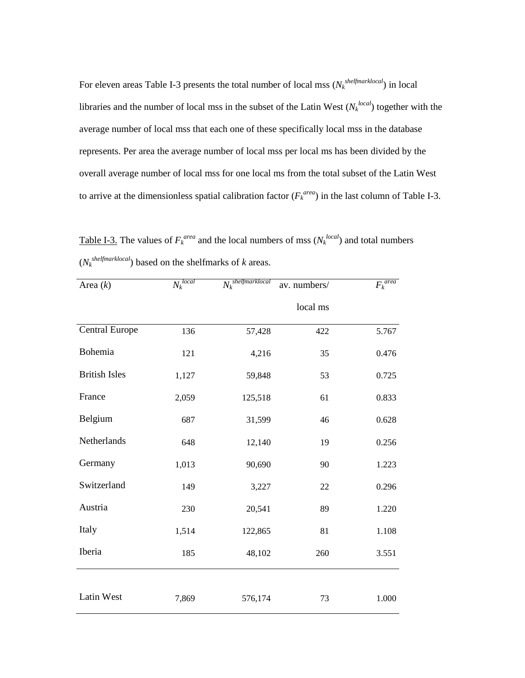For eleven areas Table I-3 presents the total number of local mss  $(N_k^{shell,~thel,~tho})$  in local libraries and the number of local mss in the subset of the Latin West  $(N_k^{local})$  together with the average number of local mss that each one of these specifically local mss in the database represents. Per area the average number of local mss per local ms has been divided by the overall average number of local mss for one local ms from the total subset of the Latin West to arrive at the dimensionless spatial calibration factor  $(F_k^{area})$  in the last column of Table I-3.

Table I-3. The values of  $F_k^{\text{area}}$  and the local numbers of mss  $(N_k^{\text{local}})$  and total numbers  $(N_k^{shell, 10\%})$  based on the shelfmarks of *k* areas.

| Area $(k)$            | $N_k$ <sup>local</sup> | $N_k$ <sup>shelfmarklocal</sup> | av. numbers/ | $F_k$ <sup>area</sup> |
|-----------------------|------------------------|---------------------------------|--------------|-----------------------|
|                       |                        |                                 | local ms     |                       |
| <b>Central Europe</b> | 136                    | 57,428                          | 422          | 5.767                 |
| Bohemia               | 121                    | 4,216                           | 35           | 0.476                 |
| <b>British Isles</b>  | 1,127                  | 59,848                          | 53           | 0.725                 |
| France                | 2,059                  | 125,518                         | 61           | 0.833                 |
| Belgium               | 687                    | 31,599                          | 46           | 0.628                 |
| Netherlands           | 648                    | 12,140                          | 19           | 0.256                 |
| Germany               | 1,013                  | 90,690                          | 90           | 1.223                 |
| Switzerland           | 149                    | 3,227                           | 22           | 0.296                 |
| Austria               | 230                    | 20,541                          | 89           | 1.220                 |
| Italy                 | 1,514                  | 122,865                         | 81           | 1.108                 |
| Iberia                | 185                    | 48,102                          | 260          | 3.551                 |
|                       |                        |                                 |              |                       |
| Latin West            | 7,869                  | 576,174                         | 73           | 1.000                 |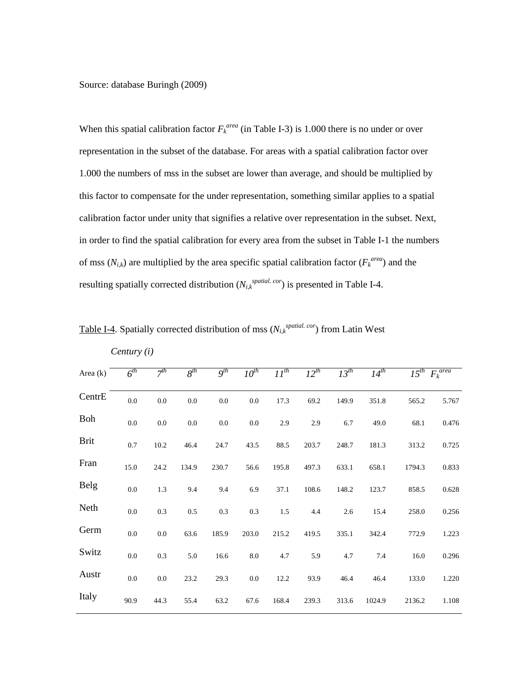Source: database Buringh (2009)

*Century (i)* 

When this spatial calibration factor  $F_k^{\text{area}}$  (in Table I-3) is 1.000 there is no under or over representation in the subset of the database. For areas with a spatial calibration factor over 1.000 the numbers of mss in the subset are lower than average, and should be multiplied by this factor to compensate for the under representation, something similar applies to a spatial calibration factor under unity that signifies a relative over representation in the subset. Next, in order to find the spatial calibration for every area from the subset in Table I-1 the numbers of mss  $(N_{i,k})$  are multiplied by the area specific spatial calibration factor  $(F_k^{area})$  and the resulting spatially corrected distribution  $(N_{i,k}^{spatial. \text{ cor}})$  is presented in Table I-4.

| Area $(k)$  | $6^{th}$ | $7^{th}$ | $8^{th}$ | $Q^{th}$ | $10^{th}$ | $11^{th}$ | $12^{th}$ | $13^{th}$ | $14^{th}$ |        | $15^{th}$ $F_k$ <sup>area</sup> |
|-------------|----------|----------|----------|----------|-----------|-----------|-----------|-----------|-----------|--------|---------------------------------|
| CentrE      | $0.0\,$  | $0.0\,$  | $0.0\,$  | $0.0\,$  | $0.0\,$   | 17.3      | 69.2      | 149.9     | 351.8     | 565.2  | 5.767                           |
| <b>Boh</b>  | $0.0\,$  | $0.0\,$  | $0.0\,$  | $0.0\,$  | $0.0\,$   | 2.9       | 2.9       | 6.7       | 49.0      | 68.1   | 0.476                           |
| <b>Brit</b> | 0.7      | 10.2     | 46.4     | 24.7     | 43.5      | 88.5      | 203.7     | 248.7     | 181.3     | 313.2  | 0.725                           |
| Fran        | 15.0     | 24.2     | 134.9    | 230.7    | 56.6      | 195.8     | 497.3     | 633.1     | 658.1     | 1794.3 | 0.833                           |
| Belg        | $0.0\,$  | 1.3      | 9.4      | 9.4      | 6.9       | 37.1      | 108.6     | 148.2     | 123.7     | 858.5  | 0.628                           |
| Neth        | $0.0\,$  | 0.3      | 0.5      | 0.3      | 0.3       | 1.5       | 4.4       | 2.6       | 15.4      | 258.0  | 0.256                           |
| Germ        | $0.0\,$  | $0.0\,$  | 63.6     | 185.9    | 203.0     | 215.2     | 419.5     | 335.1     | 342.4     | 772.9  | 1.223                           |
| Switz       | $0.0\,$  | 0.3      | 5.0      | 16.6     | $8.0\,$   | 4.7       | 5.9       | 4.7       | $7.4\,$   | 16.0   | 0.296                           |
| Austr       | $0.0\,$  | $0.0\,$  | 23.2     | 29.3     | 0.0       | 12.2      | 93.9      | 46.4      | 46.4      | 133.0  | 1.220                           |
| Italy       | 90.9     | 44.3     | 55.4     | 63.2     | 67.6      | 168.4     | 239.3     | 313.6     | 1024.9    | 2136.2 | 1.108                           |

Table I-4. Spatially corrected distribution of mss  $(N_{i,k}^{spatial, cor})$  from Latin West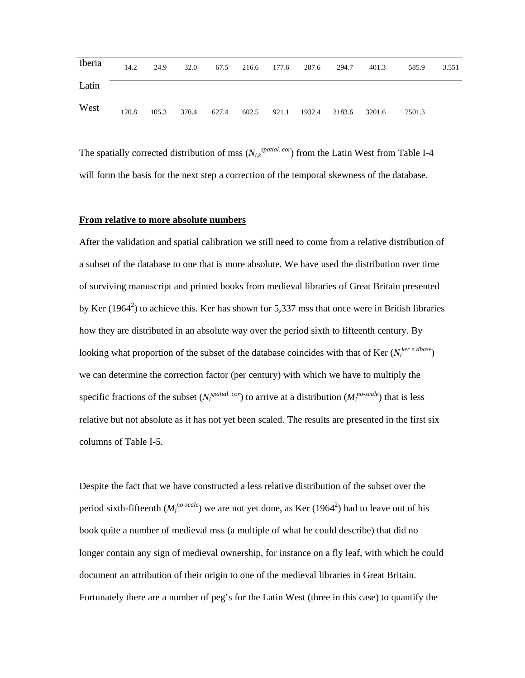| Iberia |       |  |  |  | 14.2 24.9 32.0 67.5 216.6 177.6 287.6 294.7        | 401.3 | 585.9  | 3.551 |
|--------|-------|--|--|--|----------------------------------------------------|-------|--------|-------|
| Latin  |       |  |  |  |                                                    |       |        |       |
| West   | 120.8 |  |  |  | 105.3 370.4 627.4 602.5 921.1 1932.4 2183.6 3201.6 |       | 7501.3 |       |

The spatially corrected distribution of mss  $(N_{i,k}^{spatial.~cor})$  from the Latin West from Table I-4 will form the basis for the next step a correction of the temporal skewness of the database.

#### **From relative to more absolute numbers**

After the validation and spatial calibration we still need to come from a relative distribution of a subset of the database to one that is more absolute. We have used the distribution over time of surviving manuscript and printed books from medieval libraries of Great Britain presented by Ker (1964<sup>2</sup>) to achieve this. Ker has shown for 5,337 mss that once were in British libraries how they are distributed in an absolute way over the period sixth to fifteenth century. By looking what proportion of the subset of the database coincides with that of Ker ( $N_i^{(ker n \,dbase})$ ) we can determine the correction factor (per century) with which we have to multiply the specific fractions of the subset  $(N_i^{spatial. cor})$  to arrive at a distribution  $(M_i^{no-scale})$  that is less relative but not absolute as it has not yet been scaled. The results are presented in the first six columns of Table I-5.

Despite the fact that we have constructed a less relative distribution of the subset over the period sixth-fifteenth  $(M_i^{no-scale})$  we are not yet done, as Ker (1964<sup>2</sup>) had to leave out of his book quite a number of medieval mss (a multiple of what he could describe) that did no longer contain any sign of medieval ownership, for instance on a fly leaf, with which he could document an attribution of their origin to one of the medieval libraries in Great Britain. Fortunately there are a number of peg's for the Latin West (three in this case) to quantify the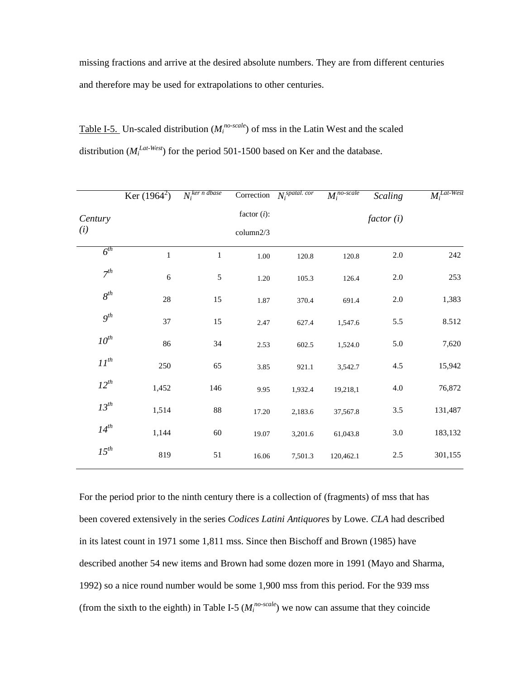missing fractions and arrive at the desired absolute numbers. They are from different centuries and therefore may be used for extrapolations to other centuries.

| Table I-5. Un-scaled distribution ( $M_i^{no-scale}$ ) of mss in the Latin West and the scaled |
|------------------------------------------------------------------------------------------------|
| distribution ( $M_i^{Lat-West}$ ) for the period 501-1500 based on Ker and the database.       |

|           | Ker $(1964^2)$ | $N_i^{ker n \,dbase}$ |                | Correction $N_i^{spatal.~cor}$ | $\overline{M_i^{no-scale}}$ | <b>Scaling</b> | $\overline{M_i^{Lat\text{-}West}}$ |
|-----------|----------------|-----------------------|----------------|--------------------------------|-----------------------------|----------------|------------------------------------|
| Century   |                |                       | factor $(i)$ : |                                |                             | factor(i)      |                                    |
| (i)       |                |                       | column2/3      |                                |                             |                |                                    |
| $6^{th}$  | $\,1$          | $1\,$                 | $1.00\,$       | 120.8                          | 120.8                       | $2.0\,$        | 242                                |
| $7^{th}$  | $\sqrt{6}$     | $\sqrt{5}$            | 1.20           | 105.3                          | 126.4                       | 2.0            | 253                                |
| $8^{th}$  | $28\,$         | 15                    | 1.87           | 370.4                          | 691.4                       | $2.0\,$        | 1,383                              |
| $9^{th}$  | 37             | 15                    | 2.47           | 627.4                          | 1,547.6                     | 5.5            | 8.512                              |
| $10^{th}$ | 86             | 34                    | 2.53           | 602.5                          | 1,524.0                     | 5.0            | 7,620                              |
| $II^{th}$ | 250            | 65                    | 3.85           | 921.1                          | 3,542.7                     | 4.5            | 15,942                             |
| $12^{th}$ | 1,452          | 146                   | 9.95           | 1,932.4                        | 19,218,1                    | $4.0\,$        | 76,872                             |
| $13^{th}$ | 1,514          | $88\,$                | 17.20          | 2,183.6                        | 37,567.8                    | 3.5            | 131,487                            |
| $14^{th}$ | 1,144          | 60                    | 19.07          | 3,201.6                        | 61,043.8                    | $3.0\,$        | 183,132                            |
| $15^{th}$ | 819            | 51                    | 16.06          | 7,501.3                        | 120,462.1                   | $2.5\,$        | 301,155                            |

For the period prior to the ninth century there is a collection of (fragments) of mss that has been covered extensively in the series *Codices Latini Antiquores* by Lowe. *CLA* had described in its latest count in 1971 some 1,811 mss. Since then Bischoff and Brown (1985) have described another 54 new items and Brown had some dozen more in 1991 (Mayo and Sharma, 1992) so a nice round number would be some 1,900 mss from this period. For the 939 mss (from the sixth to the eighth) in Table I-5 ( $M_i^{no-scale}$ ) we now can assume that they coincide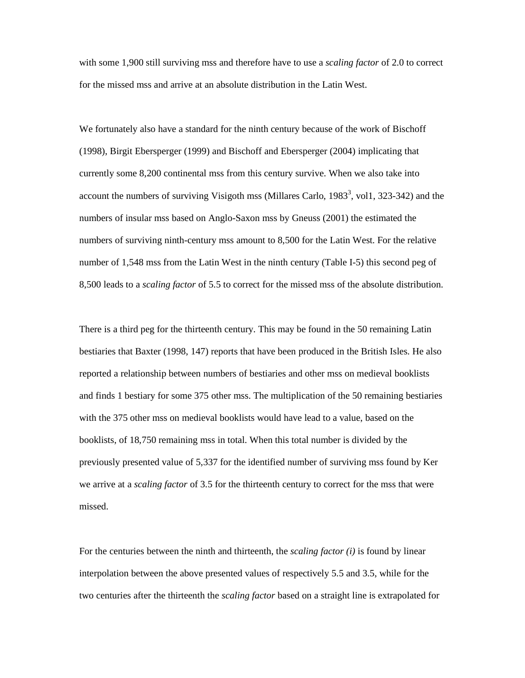with some 1,900 still surviving mss and therefore have to use a *scaling factor* of 2.0 to correct for the missed mss and arrive at an absolute distribution in the Latin West.

We fortunately also have a standard for the ninth century because of the work of Bischoff (1998), Birgit Ebersperger (1999) and Bischoff and Ebersperger (2004) implicating that currently some 8,200 continental mss from this century survive. When we also take into account the numbers of surviving Visigoth mss (Millares Carlo,  $1983<sup>3</sup>$ , vol1, 323-342) and the numbers of insular mss based on Anglo-Saxon mss by Gneuss (2001) the estimated the numbers of surviving ninth-century mss amount to 8,500 for the Latin West. For the relative number of 1,548 mss from the Latin West in the ninth century (Table I-5) this second peg of 8,500 leads to a *scaling factor* of 5.5 to correct for the missed mss of the absolute distribution.

There is a third peg for the thirteenth century. This may be found in the 50 remaining Latin bestiaries that Baxter (1998, 147) reports that have been produced in the British Isles. He also reported a relationship between numbers of bestiaries and other mss on medieval booklists and finds 1 bestiary for some 375 other mss. The multiplication of the 50 remaining bestiaries with the 375 other mss on medieval booklists would have lead to a value, based on the booklists, of 18,750 remaining mss in total. When this total number is divided by the previously presented value of 5,337 for the identified number of surviving mss found by Ker we arrive at a *scaling factor* of 3.5 for the thirteenth century to correct for the mss that were missed.

For the centuries between the ninth and thirteenth, the *scaling factor (i)* is found by linear interpolation between the above presented values of respectively 5.5 and 3.5, while for the two centuries after the thirteenth the *scaling factor* based on a straight line is extrapolated for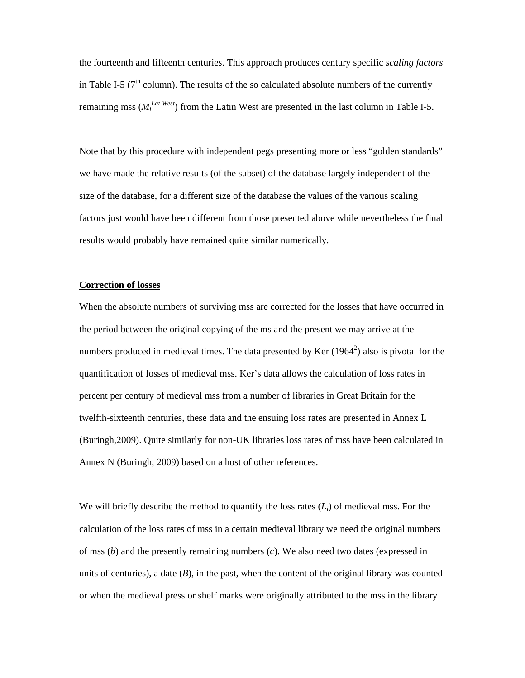the fourteenth and fifteenth centuries. This approach produces century specific *scaling factors* in Table I-5 ( $7<sup>th</sup>$  column). The results of the so calculated absolute numbers of the currently remaining mss ( $M_i^{Lat-West}$ ) from the Latin West are presented in the last column in Table I-5.

Note that by this procedure with independent pegs presenting more or less "golden standards" we have made the relative results (of the subset) of the database largely independent of the size of the database, for a different size of the database the values of the various scaling factors just would have been different from those presented above while nevertheless the final results would probably have remained quite similar numerically.

#### **Correction of losses**

When the absolute numbers of surviving mss are corrected for the losses that have occurred in the period between the original copying of the ms and the present we may arrive at the numbers produced in medieval times. The data presented by Ker  $(1964^2)$  also is pivotal for the quantification of losses of medieval mss. Ker's data allows the calculation of loss rates in percent per century of medieval mss from a number of libraries in Great Britain for the twelfth-sixteenth centuries, these data and the ensuing loss rates are presented in Annex L (Buringh,2009). Quite similarly for non-UK libraries loss rates of mss have been calculated in Annex N (Buringh, 2009) based on a host of other references.

We will briefly describe the method to quantify the loss rates (*Li*) of medieval mss. For the calculation of the loss rates of mss in a certain medieval library we need the original numbers of mss (*b*) and the presently remaining numbers (*c*). We also need two dates (expressed in units of centuries), a date (*B*), in the past, when the content of the original library was counted or when the medieval press or shelf marks were originally attributed to the mss in the library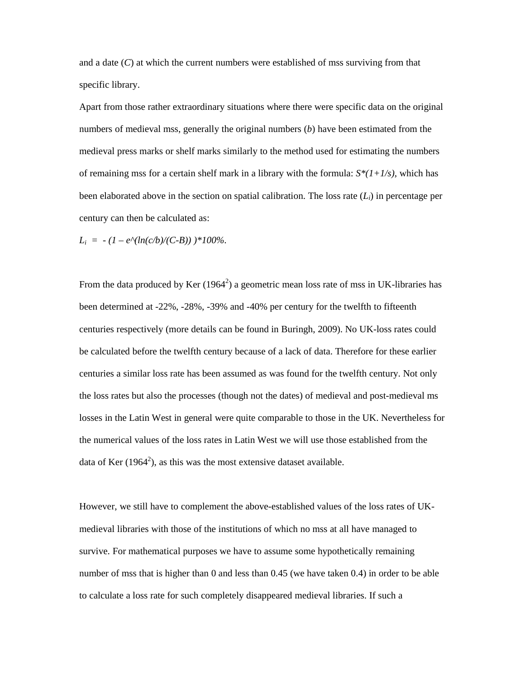and a date (*C*) at which the current numbers were established of mss surviving from that specific library.

Apart from those rather extraordinary situations where there were specific data on the original numbers of medieval mss, generally the original numbers (*b*) have been estimated from the medieval press marks or shelf marks similarly to the method used for estimating the numbers of remaining mss for a certain shelf mark in a library with the formula:  $S^*(1+1/s)$ , which has been elaborated above in the section on spatial calibration. The loss rate  $(L<sub>i</sub>)$  in percentage per century can then be calculated as:

 $L_i = -(1 - e^{\Lambda}(\ln(c/b)/(C-B))) *100\%.$ 

From the data produced by Ker  $(1964^2)$  a geometric mean loss rate of mss in UK-libraries has been determined at -22%, -28%, -39% and -40% per century for the twelfth to fifteenth centuries respectively (more details can be found in Buringh, 2009). No UK-loss rates could be calculated before the twelfth century because of a lack of data. Therefore for these earlier centuries a similar loss rate has been assumed as was found for the twelfth century. Not only the loss rates but also the processes (though not the dates) of medieval and post-medieval ms losses in the Latin West in general were quite comparable to those in the UK. Nevertheless for the numerical values of the loss rates in Latin West we will use those established from the data of Ker  $(1964^2)$ , as this was the most extensive dataset available.

However, we still have to complement the above-established values of the loss rates of UKmedieval libraries with those of the institutions of which no mss at all have managed to survive. For mathematical purposes we have to assume some hypothetically remaining number of mss that is higher than 0 and less than 0.45 (we have taken 0.4) in order to be able to calculate a loss rate for such completely disappeared medieval libraries. If such a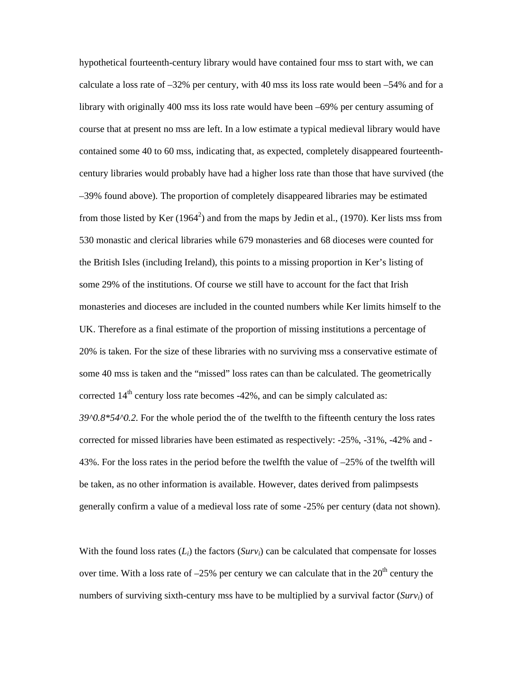hypothetical fourteenth-century library would have contained four mss to start with, we can calculate a loss rate of –32% per century, with 40 mss its loss rate would been –54% and for a library with originally 400 mss its loss rate would have been –69% per century assuming of course that at present no mss are left. In a low estimate a typical medieval library would have contained some 40 to 60 mss, indicating that, as expected, completely disappeared fourteenthcentury libraries would probably have had a higher loss rate than those that have survived (the –39% found above). The proportion of completely disappeared libraries may be estimated from those listed by Ker (1964<sup>2</sup>) and from the maps by Jedin et al., (1970). Ker lists mss from 530 monastic and clerical libraries while 679 monasteries and 68 dioceses were counted for the British Isles (including Ireland), this points to a missing proportion in Ker's listing of some 29% of the institutions. Of course we still have to account for the fact that Irish monasteries and dioceses are included in the counted numbers while Ker limits himself to the UK. Therefore as a final estimate of the proportion of missing institutions a percentage of 20% is taken. For the size of these libraries with no surviving mss a conservative estimate of some 40 mss is taken and the "missed" loss rates can than be calculated. The geometrically corrected  $14<sup>th</sup>$  century loss rate becomes -42%, and can be simply calculated as: *39^0.8\*54^0.2*. For the whole period the of the twelfth to the fifteenth century the loss rates corrected for missed libraries have been estimated as respectively: -25%, -31%, -42% and - 43%. For the loss rates in the period before the twelfth the value of –25% of the twelfth will be taken, as no other information is available. However, dates derived from palimpsests generally confirm a value of a medieval loss rate of some -25% per century (data not shown).

With the found loss rates  $(L_i)$  the factors  $(Surv_i)$  can be calculated that compensate for losses over time. With a loss rate of  $-25\%$  per century we can calculate that in the  $20<sup>th</sup>$  century the numbers of surviving sixth-century mss have to be multiplied by a survival factor (*Survi*) of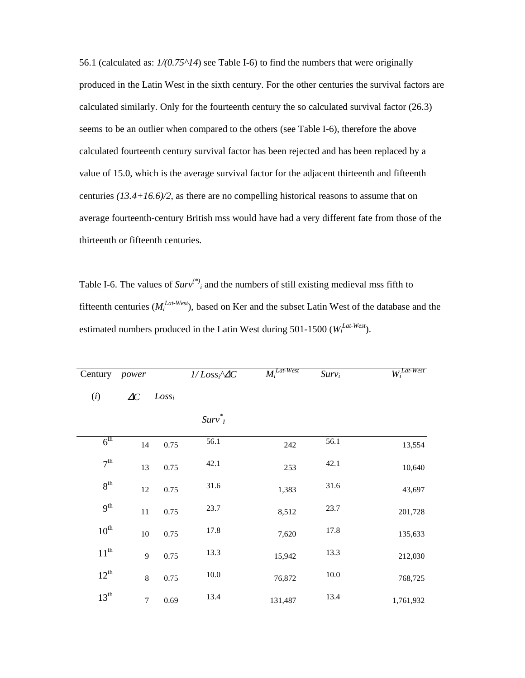56.1 (calculated as: *1/(0.75^14*) see Table I-6) to find the numbers that were originally produced in the Latin West in the sixth century. For the other centuries the survival factors are calculated similarly. Only for the fourteenth century the so calculated survival factor (26.3) seems to be an outlier when compared to the others (see Table I-6), therefore the above calculated fourteenth century survival factor has been rejected and has been replaced by a value of 15.0, which is the average survival factor for the adjacent thirteenth and fifteenth centuries *(13.4+16.6)/2*, as there are no compelling historical reasons to assume that on average fourteenth-century British mss would have had a very different fate from those of the thirteenth or fifteenth centuries.

Table I-6. The values of  $Surv^{(*)}$  and the numbers of still existing medieval mss fifth to fifteenth centuries (*M<sup>i</sup> Lat-West*), based on Ker and the subset Latin West of the database and the estimated numbers produced in the Latin West during 501-1500 ( $W_i^{Lat-West}$ ).

| Century          | power        |          | $1/Lossi^{\wedge}\Delta C$ | $\overline{M_i^{Lat\text{-}West}}$ | $Surv_i$ | $W_i^{Lat-West}$ |
|------------------|--------------|----------|----------------------------|------------------------------------|----------|------------------|
| (i)              | $\Delta C$   | $Loss_i$ |                            |                                    |          |                  |
|                  |              |          | $Surv^*$                   |                                    |          |                  |
| 6 <sup>th</sup>  | 14           | 0.75     | 56.1                       | 242                                | 56.1     | 13,554           |
| 7 <sup>th</sup>  | 13           | 0.75     | 42.1                       | 253                                | 42.1     | 10,640           |
| 8 <sup>th</sup>  | 12           | 0.75     | 31.6                       | 1,383                              | 31.6     | 43,697           |
| 9 <sup>th</sup>  | 11           | 0.75     | 23.7                       | 8,512                              | 23.7     | 201,728          |
| $10^{\text{th}}$ | $10\,$       | 0.75     | 17.8                       | 7,620                              | 17.8     | 135,633          |
| $11^{th}$        | $\mathbf{9}$ | 0.75     | 13.3                       | 15,942                             | 13.3     | 212,030          |
| $12^{th}$        | 8            | 0.75     | 10.0                       | 76,872                             | $10.0\,$ | 768,725          |
| $13^{th}$        | $\tau$       | 0.69     | 13.4                       | 131,487                            | 13.4     | 1,761,932        |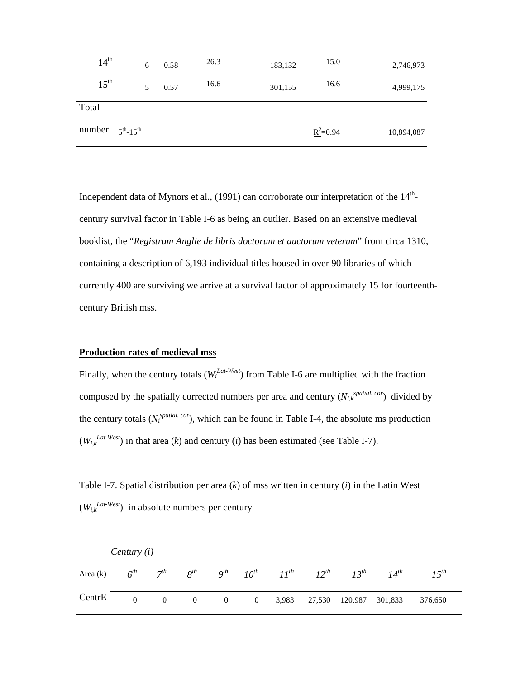| 14 <sup>th</sup>               | 6 | 0.58 | 26.3 | 183,132 | 15.0         | 2,746,973  |
|--------------------------------|---|------|------|---------|--------------|------------|
| $15^{\text{th}}$               |   | 0.57 | 16.6 | 301,155 | 16.6         | 4,999,175  |
| Total                          |   |      |      |         |              |            |
| number $5th$ -15 <sup>th</sup> |   |      |      |         | $R^2 = 0.94$ | 10,894,087 |

Independent data of Mynors et al.,  $(1991)$  can corroborate our interpretation of the  $14<sup>th</sup>$ century survival factor in Table I-6 as being an outlier. Based on an extensive medieval booklist, the "*Registrum Anglie de libris doctorum et auctorum veterum*" from circa 1310, containing a description of 6,193 individual titles housed in over 90 libraries of which currently 400 are surviving we arrive at a survival factor of approximately 15 for fourteenthcentury British mss.

## **Production rates of medieval mss**

Finally, when the century totals  $(W_i^{Lat-West})$  from Table I-6 are multiplied with the fraction composed by the spatially corrected numbers per area and century  $(N_{i,k}^{spatial, cor})$  divided by the century totals  $(N_i^{spatial. cor})$ , which can be found in Table I-4, the absolute ms production  $(W_{i,k}^{Lat-West})$  in that area (*k*) and century (*i*) has been estimated (see Table I-7).

Table I-7. Spatial distribution per area (*k*) of mss written in century (*i*) in the Latin West  $(W_{i,k}^{Lat-West})$  in absolute numbers per century

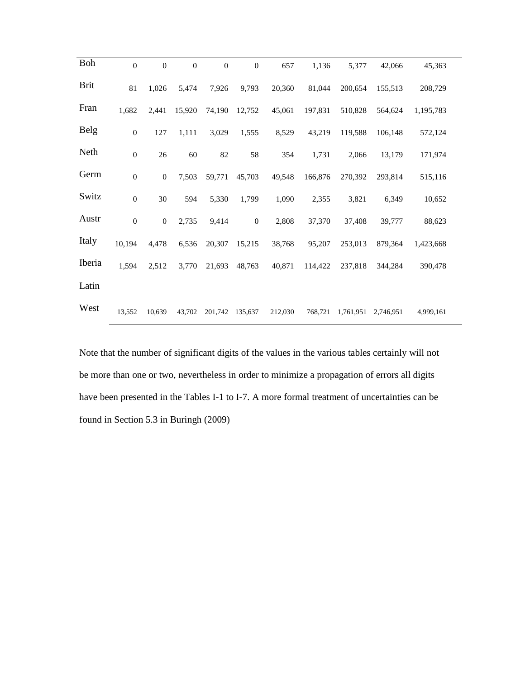| <b>Boh</b>  | $\mathbf{0}$     | $\mathbf{0}$     | $\mathbf{0}$ | $\overline{0}$ | $\overline{0}$ | 657     | 1,136   | 5,377                       | 42,066  | 45,363    |  |
|-------------|------------------|------------------|--------------|----------------|----------------|---------|---------|-----------------------------|---------|-----------|--|
| <b>Brit</b> | 81               | 1,026            | 5,474        | 7,926          | 9,793          | 20,360  | 81,044  | 200,654                     | 155,513 | 208,729   |  |
| Fran        | 1,682            | 2,441            | 15,920       | 74,190         | 12,752         | 45,061  | 197,831 | 510,828                     | 564,624 | 1,195,783 |  |
| <b>Belg</b> | $\boldsymbol{0}$ | 127              | 1,111        | 3,029          | 1,555          | 8,529   | 43,219  | 119,588                     | 106,148 | 572,124   |  |
| Neth        | $\boldsymbol{0}$ | 26               | 60           | 82             | 58             | 354     | 1,731   | 2,066                       | 13,179  | 171,974   |  |
| Germ        | $\boldsymbol{0}$ | $\boldsymbol{0}$ | 7,503        | 59,771         | 45,703         | 49,548  | 166,876 | 270,392                     | 293,814 | 515,116   |  |
| Switz       | $\boldsymbol{0}$ | 30               | 594          | 5,330          | 1,799          | 1,090   | 2,355   | 3,821                       | 6,349   | 10,652    |  |
| Austr       | $\mathbf{0}$     | $\overline{0}$   | 2,735        | 9,414          | $\overline{0}$ | 2,808   | 37,370  | 37,408                      | 39,777  | 88,623    |  |
| Italy       | 10,194           | 4,478            | 6,536        |                | 20,307 15,215  | 38,768  | 95,207  | 253,013                     | 879,364 | 1,423,668 |  |
| Iberia      | 1,594            | 2,512            | 3,770        |                | 21,693 48,763  | 40,871  | 114,422 | 237,818                     | 344,284 | 390,478   |  |
| Latin       |                  |                  |              |                |                |         |         |                             |         |           |  |
| West        | 13,552           | 10,639           | 43,702       | 201,742        | 135,637        | 212,030 |         | 768,721 1,761,951 2,746,951 |         | 4,999,161 |  |

Note that the number of significant digits of the values in the various tables certainly will not be more than one or two, nevertheless in order to minimize a propagation of errors all digits have been presented in the Tables I-1 to I-7. A more formal treatment of uncertainties can be found in Section 5.3 in Buringh (2009)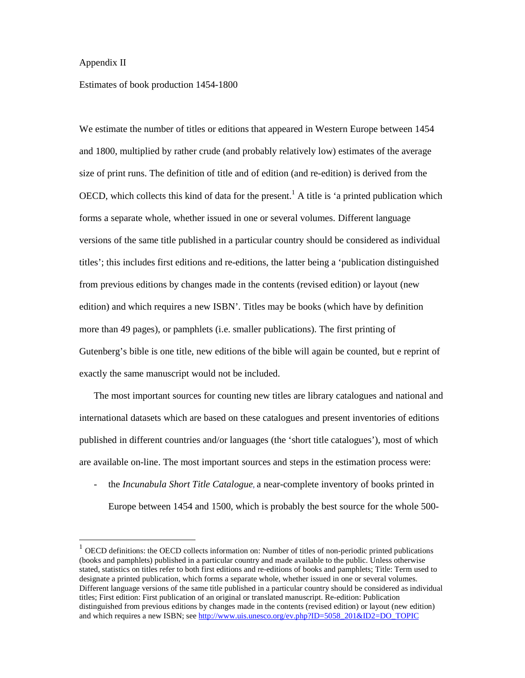## Appendix II

-

Estimates of book production 1454-1800

We estimate the number of titles or editions that appeared in Western Europe between 1454 and 1800, multiplied by rather crude (and probably relatively low) estimates of the average size of print runs. The definition of title and of edition (and re-edition) is derived from the OECD, which collects this kind of data for the present.<sup>1</sup> A title is 'a printed publication which forms a separate whole, whether issued in one or several volumes. Different language versions of the same title published in a particular country should be considered as individual titles'; this includes first editions and re-editions, the latter being a 'publication distinguished from previous editions by changes made in the contents (revised edition) or layout (new edition) and which requires a new ISBN'. Titles may be books (which have by definition more than 49 pages), or pamphlets (i.e. smaller publications). The first printing of Gutenberg's bible is one title, new editions of the bible will again be counted, but e reprint of exactly the same manuscript would not be included.

The most important sources for counting new titles are library catalogues and national and international datasets which are based on these catalogues and present inventories of editions published in different countries and/or languages (the 'short title catalogues'), most of which are available on-line. The most important sources and steps in the estimation process were:

- the *Incunabula Short Title Catalogue*, a near-complete inventory of books printed in Europe between 1454 and 1500, which is probably the best source for the whole 500-

 $1$  OECD definitions: the OECD collects information on: Number of titles of non-periodic printed publications (books and pamphlets) published in a particular country and made available to the public. Unless otherwise stated, statistics on titles refer to both first editions and re-editions of books and pamphlets; Title: Term used to designate a printed publication, which forms a separate whole, whether issued in one or several volumes. Different language versions of the same title published in a particular country should be considered as individual titles; First edition: First publication of an original or translated manuscript. Re-edition: Publication distinguished from previous editions by changes made in the contents (revised edition) or layout (new edition) and which requires a new ISBN; see http://www.uis.unesco.org/ev.php?ID=5058\_201&ID2=DO\_TOPIC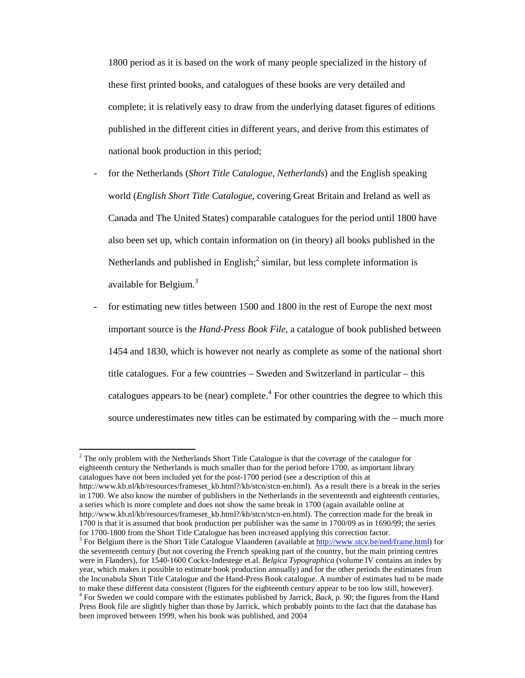1800 period as it is based on the work of many people specialized in the history of these first printed books, and catalogues of these books are very detailed and complete; it is relatively easy to draw from the underlying dataset figures of editions published in the different cities in different years, and derive from this estimates of national book production in this period;

- for the Netherlands (*Short Title Catalogue, Netherlands*) and the English speaking world (*English Short Title Catalogue*, covering Great Britain and Ireland as well as Canada and The United States) comparable catalogues for the period until 1800 have also been set up, which contain information on (in theory) all books published in the Netherlands and published in English; $^2$  similar, but less complete information is available for Belgium.<sup>3</sup>
- for estimating new titles between 1500 and 1800 in the rest of Europe the next most important source is the *Hand-Press Book File*, a catalogue of book published between 1454 and 1830, which is however not nearly as complete as some of the national short title catalogues. For a few countries – Sweden and Switzerland in particular – this catalogues appears to be (near) complete. $4$  For other countries the degree to which this source underestimates new titles can be estimated by comparing with the – much more

 $2$  The only problem with the Netherlands Short Title Catalogue is that the coverage of the catalogue for eighteenth century the Netherlands is much smaller than for the period before 1700, as important library catalogues have not been included yet for the post-1700 period (see a description of this at http://www.kb.nl/kb/resources/frameset\_kb.html?/kb/stcn/stcn-en.html). As a result there is a break in the series in 1700. We also know the number of publishers in the Netherlands in the seventeenth and eighteenth centuries, a series which is more complete and does not show the same break in 1700 (again available online at http://www.kb.nl/kb/resources/frameset\_kb.html?/kb/stcn/stcn-en.html). The correction made for the break in 1700 is that it is assumed that book production per publisher was the same in 1700/09 as in 1690/99; the series for 1700-1800 from the Short Title Catalogue has been increased applying this correction factor.

<sup>&</sup>lt;sup>3</sup> For Belgium there is the Short Title Catalogue Vlaanderen (available at http://www.stcv.be/ned/frame.html) for the seventeenth century (but not covering the French speaking part of the country, but the main printing centres were in Flanders), for 1540-1600 Cockx-Indestege et.al. *Belgica Typographica* (volume IV contains an index by year, which makes it possible to estimate book production annually) and for the other periods the estimates from the Incunabula Short Title Catalogue and the Hand-Press Book catalogue. A number of estimates had to be made to make these different data consistent (figures for the eighteenth century appear to be too low still, however). 4 For Sweden we could compare with the estimates published by Jarrick, *Back*, p. 90; the figures from the Hand Press Book file are slightly higher than those by Jarrick, which probably points to the fact that the database has

been improved between 1999, when his book was published, and 2004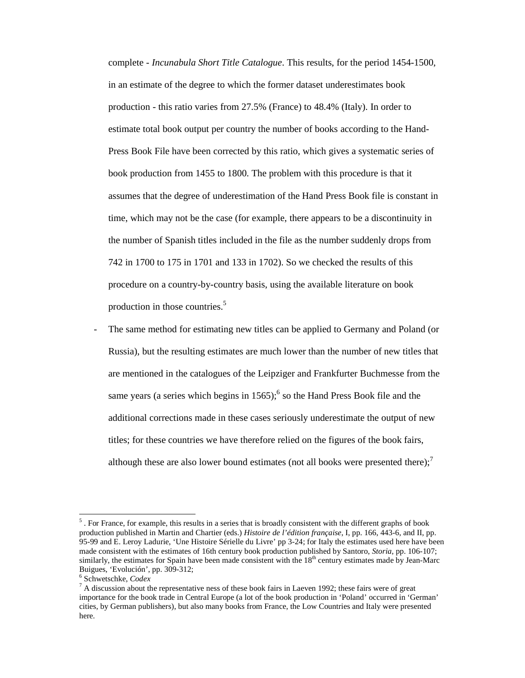complete - *Incunabula Short Title Catalogue*. This results, for the period 1454-1500, in an estimate of the degree to which the former dataset underestimates book production - this ratio varies from 27.5% (France) to 48.4% (Italy). In order to estimate total book output per country the number of books according to the Hand-Press Book File have been corrected by this ratio, which gives a systematic series of book production from 1455 to 1800. The problem with this procedure is that it assumes that the degree of underestimation of the Hand Press Book file is constant in time, which may not be the case (for example, there appears to be a discontinuity in the number of Spanish titles included in the file as the number suddenly drops from 742 in 1700 to 175 in 1701 and 133 in 1702). So we checked the results of this procedure on a country-by-country basis, using the available literature on book production in those countries.<sup>5</sup>

The same method for estimating new titles can be applied to Germany and Poland (or Russia), but the resulting estimates are much lower than the number of new titles that are mentioned in the catalogues of the Leipziger and Frankfurter Buchmesse from the same years (a series which begins in  $1565$ );  $6$  so the Hand Press Book file and the additional corrections made in these cases seriously underestimate the output of new titles; for these countries we have therefore relied on the figures of the book fairs, although these are also lower bound estimates (not all books were presented there); $\frac{7}{1}$ 

 $<sup>5</sup>$ . For France, for example, this results in a series that is broadly consistent with the different graphs of book</sup> production published in Martin and Chartier (eds.) *Histoire de l'édition française*, I, pp. 166, 443-6, and II, pp. 95-99 and E. Leroy Ladurie, 'Une Histoire Sérielle du Livre' pp 3-24; for Italy the estimates used here have been made consistent with the estimates of 16th century book production published by Santoro, *Storia*, pp. 106-107; similarly, the estimates for Spain have been made consistent with the 18<sup>th</sup> century estimates made by Jean-Marc Buigues, 'Evolución', pp. 309-312;

<sup>6</sup> Schwetschke, *Codex*

 $<sup>7</sup>$  A discussion about the representative ness of these book fairs in Laeven 1992; these fairs were of great</sup> importance for the book trade in Central Europe (a lot of the book production in 'Poland' occurred in 'German' cities, by German publishers), but also many books from France, the Low Countries and Italy were presented here.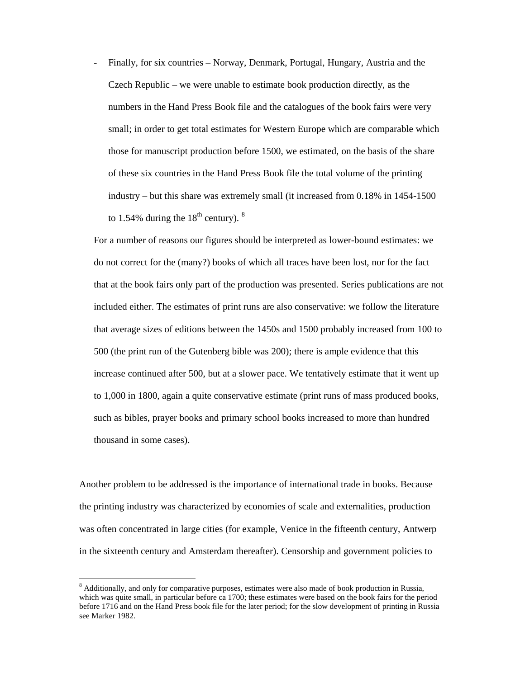- Finally, for six countries – Norway, Denmark, Portugal, Hungary, Austria and the Czech Republic – we were unable to estimate book production directly, as the numbers in the Hand Press Book file and the catalogues of the book fairs were very small; in order to get total estimates for Western Europe which are comparable which those for manuscript production before 1500, we estimated, on the basis of the share of these six countries in the Hand Press Book file the total volume of the printing industry – but this share was extremely small (it increased from 0.18% in 1454-1500 to 1.54% during the  $18<sup>th</sup>$  century).  $8<sup>th</sup>$ 

For a number of reasons our figures should be interpreted as lower-bound estimates: we do not correct for the (many?) books of which all traces have been lost, nor for the fact that at the book fairs only part of the production was presented. Series publications are not included either. The estimates of print runs are also conservative: we follow the literature that average sizes of editions between the 1450s and 1500 probably increased from 100 to 500 (the print run of the Gutenberg bible was 200); there is ample evidence that this increase continued after 500, but at a slower pace. We tentatively estimate that it went up to 1,000 in 1800, again a quite conservative estimate (print runs of mass produced books, such as bibles, prayer books and primary school books increased to more than hundred thousand in some cases).

Another problem to be addressed is the importance of international trade in books. Because the printing industry was characterized by economies of scale and externalities, production was often concentrated in large cities (for example, Venice in the fifteenth century, Antwerp in the sixteenth century and Amsterdam thereafter). Censorship and government policies to

<sup>&</sup>lt;sup>8</sup> Additionally, and only for comparative purposes, estimates were also made of book production in Russia, which was quite small, in particular before ca 1700; these estimates were based on the book fairs for the period before 1716 and on the Hand Press book file for the later period; for the slow development of printing in Russia see Marker 1982.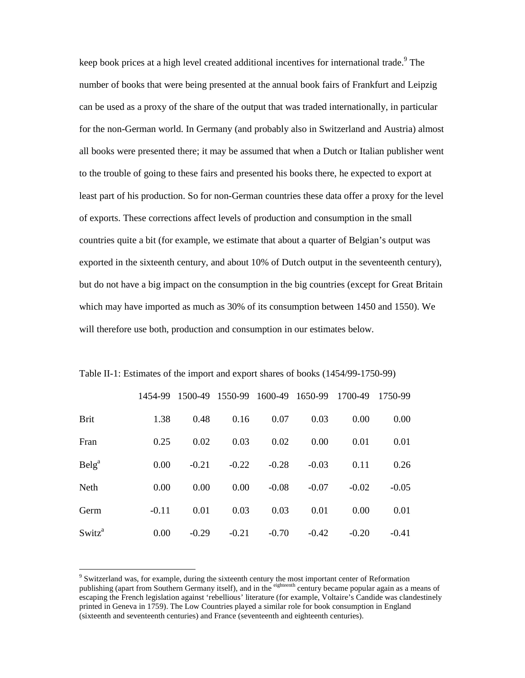keep book prices at a high level created additional incentives for international trade.<sup>9</sup> The number of books that were being presented at the annual book fairs of Frankfurt and Leipzig can be used as a proxy of the share of the output that was traded internationally, in particular for the non-German world. In Germany (and probably also in Switzerland and Austria) almost all books were presented there; it may be assumed that when a Dutch or Italian publisher went to the trouble of going to these fairs and presented his books there, he expected to export at least part of his production. So for non-German countries these data offer a proxy for the level of exports. These corrections affect levels of production and consumption in the small countries quite a bit (for example, we estimate that about a quarter of Belgian's output was exported in the sixteenth century, and about 10% of Dutch output in the seventeenth century), but do not have a big impact on the consumption in the big countries (except for Great Britain which may have imported as much as 30% of its consumption between 1450 and 1550). We will therefore use both, production and consumption in our estimates below.

|                    | 1454-99 | 1500-49 | 1550-99 | 1600-49 1650-99 |         | 1700-49 | 1750-99 |
|--------------------|---------|---------|---------|-----------------|---------|---------|---------|
| <b>Brit</b>        | 1.38    | 0.48    | 0.16    | 0.07            | 0.03    | 0.00    | 0.00    |
| Fran               | 0.25    | 0.02    | 0.03    | 0.02            | 0.00    | 0.01    | 0.01    |
| Belg <sup>a</sup>  | 0.00    | $-0.21$ | $-0.22$ | $-0.28$         | $-0.03$ | 0.11    | 0.26    |
| Neth               | 0.00    | 0.00    | 0.00    | $-0.08$         | $-0.07$ | $-0.02$ | $-0.05$ |
| Germ               | $-0.11$ | 0.01    | 0.03    | 0.03            | 0.01    | 0.00    | 0.01    |
| Switz <sup>a</sup> | 0.00    | $-0.29$ | $-0.21$ | $-0.70$         | $-0.42$ | $-0.20$ | $-0.41$ |

Table II-1: Estimates of the import and export shares of books (1454/99-1750-99)

<sup>&</sup>lt;sup>9</sup> Switzerland was, for example, during the sixteenth century the most important center of Reformation publishing (apart from Southern Germany itself), and in the eighteenth century became popular again as a means of escaping the French legislation against 'rebellious' literature (for example, Voltaire's Candide was clandestinely printed in Geneva in 1759). The Low Countries played a similar role for book consumption in England (sixteenth and seventeenth centuries) and France (seventeenth and eighteenth centuries).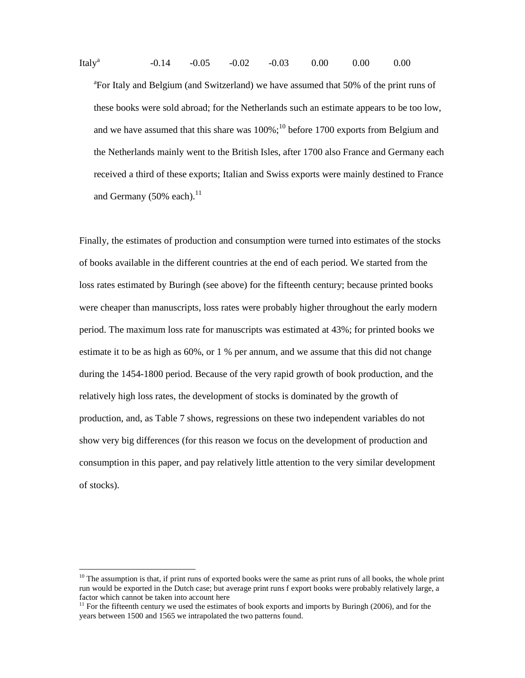Italy<sup>a</sup> -0.14 -0.05 -0.02 -0.03 0.00 0.00 0.00 <sup>a</sup>For Italy and Belgium (and Switzerland) we have assumed that 50% of the print runs of these books were sold abroad; for the Netherlands such an estimate appears to be too low, and we have assumed that this share was  $100\%$ ;<sup>10</sup> before 1700 exports from Belgium and the Netherlands mainly went to the British Isles, after 1700 also France and Germany each received a third of these exports; Italian and Swiss exports were mainly destined to France and Germany  $(50\% \text{ each})$ .<sup>11</sup>

Finally, the estimates of production and consumption were turned into estimates of the stocks of books available in the different countries at the end of each period. We started from the loss rates estimated by Buringh (see above) for the fifteenth century; because printed books were cheaper than manuscripts, loss rates were probably higher throughout the early modern period. The maximum loss rate for manuscripts was estimated at 43%; for printed books we estimate it to be as high as 60%, or 1 % per annum, and we assume that this did not change during the 1454-1800 period. Because of the very rapid growth of book production, and the relatively high loss rates, the development of stocks is dominated by the growth of production, and, as Table 7 shows, regressions on these two independent variables do not show very big differences (for this reason we focus on the development of production and consumption in this paper, and pay relatively little attention to the very similar development of stocks).

 $10$  The assumption is that, if print runs of exported books were the same as print runs of all books, the whole print run would be exported in the Dutch case; but average print runs f export books were probably relatively large, a factor which cannot be taken into account here

 $11$  For the fifteenth century we used the estimates of book exports and imports by Buringh (2006), and for the years between 1500 and 1565 we intrapolated the two patterns found.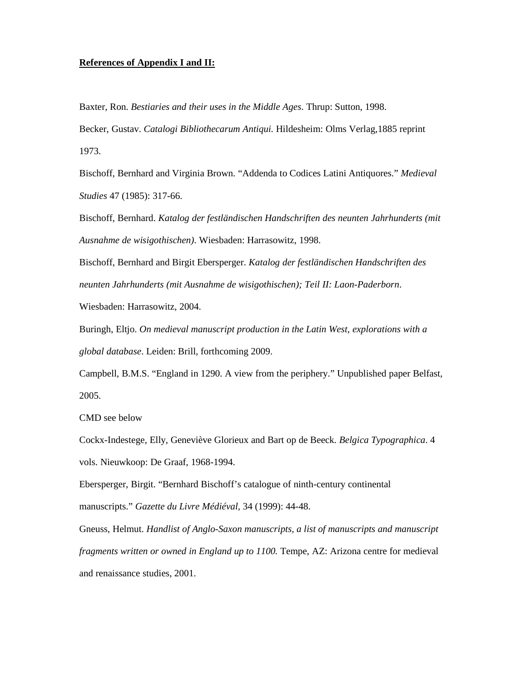# **References of Appendix I and II:**

Baxter, Ron. *Bestiaries and their uses in the Middle Ages*. Thrup: Sutton, 1998.

Becker, Gustav. *Catalogi Bibliothecarum Antiqui.* Hildesheim: Olms Verlag,1885 reprint 1973.

Bischoff, Bernhard and Virginia Brown. "Addenda to Codices Latini Antiquores." *Medieval Studies* 47 (1985): 317-66.

Bischoff, Bernhard. *Katalog der festländischen Handschriften des neunten Jahrhunderts (mit Ausnahme de wisigothischen)*. Wiesbaden: Harrasowitz, 1998.

Bischoff, Bernhard and Birgit Ebersperger. *Katalog der festländischen Handschriften des neunten Jahrhunderts (mit Ausnahme de wisigothischen); Teil II: Laon-Paderborn*.

Wiesbaden: Harrasowitz, 2004.

Buringh, Eltjo. *On medieval manuscript production in the Latin West, explorations with a global database*. Leiden: Brill, forthcoming 2009.

Campbell, B.M.S. "England in 1290. A view from the periphery." Unpublished paper Belfast, 2005.

CMD see below

Cockx-Indestege, Elly, Geneviève Glorieux and Bart op de Beeck. *Belgica Typographica*. 4 vols. Nieuwkoop: De Graaf, 1968-1994.

Ebersperger, Birgit. "Bernhard Bischoff's catalogue of ninth-century continental manuscripts." *Gazette du Livre Médiéval,* 34 (1999): 44-48.

Gneuss, Helmut. *Handlist of Anglo-Saxon manuscripts, a list of manuscripts and manuscript fragments written or owned in England up to 1100.* Tempe, AZ: Arizona centre for medieval and renaissance studies, 2001.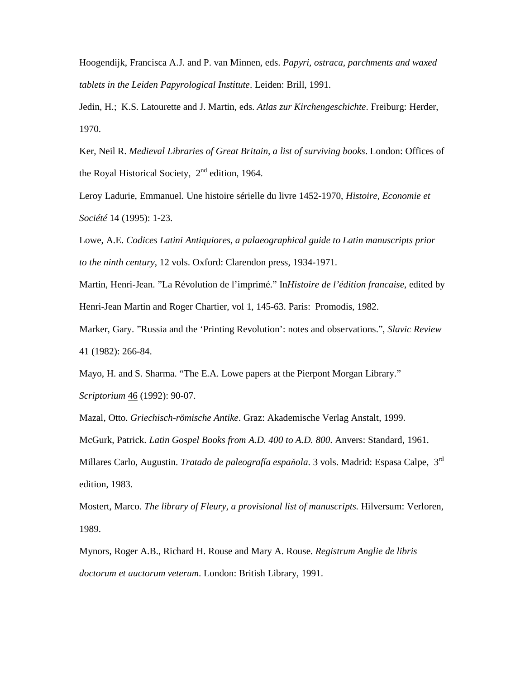Hoogendijk, Francisca A.J. and P. van Minnen, eds. *Papyri, ostraca, parchments and waxed tablets in the Leiden Papyrological Institute*. Leiden: Brill, 1991.

Jedin, H.; K.S. Latourette and J. Martin, eds. *Atlas zur Kirchengeschichte*. Freiburg: Herder, 1970.

Ker, Neil R. *Medieval Libraries of Great Britain, a list of surviving books*. London: Offices of the Royal Historical Society, 2<sup>nd</sup> edition, 1964.

Leroy Ladurie, Emmanuel. Une histoire sérielle du livre 1452-1970, *Histoire, Economie et Société* 14 (1995): 1-23.

Lowe, A.E. *Codices Latini Antiquiores, a palaeographical guide to Latin manuscripts prior to the ninth century*, 12 vols. Oxford: Clarendon press, 1934-1971.

Martin, Henri-Jean. "La Révolution de l'imprimé." In*Histoire de l'édition francaise*, edited by Henri-Jean Martin and Roger Chartier, vol 1, 145-63. Paris: Promodis, 1982.

Marker, Gary. "Russia and the 'Printing Revolution': notes and observations.", *Slavic Review* 41 (1982): 266-84.

Mayo, H. and S. Sharma. "The E.A. Lowe papers at the Pierpont Morgan Library." *Scriptorium* 46 (1992): 90-07.

Mazal, Otto. *Griechisch-römische Antike*. Graz: Akademische Verlag Anstalt, 1999.

McGurk, Patrick. *Latin Gospel Books from A.D. 400 to A.D. 800*. Anvers: Standard, 1961.

Millares Carlo, Augustin. *Tratado de paleografía espa*ň*ola*. 3 vols. Madrid: Espasa Calpe, 3rd edition, 1983.

Mostert, Marco. *The library of Fleury, a provisional list of manuscripts.* Hilversum: Verloren, 1989.

Mynors, Roger A.B., Richard H. Rouse and Mary A. Rouse. *Registrum Anglie de libris doctorum et auctorum veterum*. London: British Library, 1991.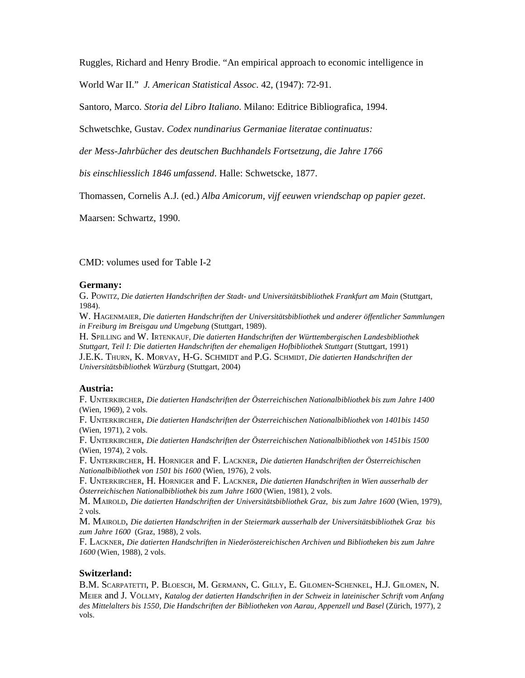Ruggles, Richard and Henry Brodie. "An empirical approach to economic intelligence in

World War II." *J. American Statistical Assoc*. 42, (1947): 72-91.

Santoro, Marco. *Storia del Libro Italiano*. Milano: Editrice Bibliografica, 1994.

Schwetschke, Gustav. *Codex nundinarius Germaniae literatae continuatus:* 

*der Mess-Jahrbücher des deutschen Buchhandels Fortsetzung, die Jahre 1766* 

*bis einschliesslich 1846 umfassend*. Halle: Schwetscke, 1877.

Thomassen, Cornelis A.J. (ed.) *Alba Amicorum, vijf eeuwen vriendschap op papier gezet*.

Maarsen: Schwartz, 1990.

CMD: volumes used for Table I-2

#### **Germany:**

G. POWITZ, *Die datierten Handschriften der Stadt- und Universitätsbibliothek Frankfurt am Main* (Stuttgart, 1984).

W. HAGENMAIER, *Die datierten Handschriften der Universitätsbibliothek und anderer öffentlicher Sammlungen in Freiburg im Breisgau und Umgebung* (Stuttgart, 1989).

H. SPILLING and W. IRTENKAUF, *Die datierten Handschriften der Württembergischen Landesbibliothek Stuttgart, Teil I: Die datierten Handschriften der ehemaligen Hofbibliothek Stuttgart* (Stuttgart, 1991)

J.E.K. THURN, K. MORVAY, H-G. SCHMIDT and P.G. SCHMIDT, *Die datierten Handschriften der Universitätsbibliothek Würzburg* (Stuttgart, 2004)

#### **Austria:**

F. UNTERKIRCHER, *Die datierten Handschriften der Österreichischen Nationalbibliothek bis zum Jahre 1400* (Wien, 1969), 2 vols.

F. UNTERKIRCHER, *Die datierten Handschriften der Österreichischen Nationalbibliothek von 1401bis 1450* (Wien, 1971), 2 vols.

F. UNTERKIRCHER, *Die datierten Handschriften der Österreichischen Nationalbibliothek von 1451bis 1500* (Wien, 1974), 2 vols.

F. UNTERKIRCHER, H. HORNIGER and F. LACKNER, *Die datierten Handschriften der Österreichischen Nationalbibliothek von 1501 bis 1600* (Wien, 1976), 2 vols.

F. UNTERKIRCHER, H. HORNIGER and F. LACKNER, *Die datierten Handschriften in Wien ausserhalb der Österreichischen Nationalbibliothek bis zum Jahre 1600* (Wien, 1981), 2 vols.

M. MAIROLD, *Die datierten Handschriften der Universitätsbibliothek Graz, bis zum Jahre 1600* (Wien, 1979), 2 vols.

M. MAIROLD, *Die datierten Handschriften in der Steiermark ausserhalb der Universitätsbibliothek Graz bis zum Jahre 1600* (Graz, 1988), 2 vols.

F. LACKNER, *Die datierten Handschriften in Niederöstereichischen Archiven und Bibliotheken bis zum Jahre 1600* (Wien, 1988), 2 vols.

## **Switzerland:**

B.M. SCARPATETTI, P. BLOESCH, M. GERMANN, C. GILLY, E. GILOMEN-SCHENKEL, H.J. GILOMEN, N. MEIER and J. VÖLLMY, *Katalog der datierten Handschriften in der Schweiz in lateinischer Schrift vom Anfang des Mittelalters bis 1550, Die Handschriften der Bibliotheken von Aarau, Appenzell und Basel* (Zürich, 1977), 2 vols.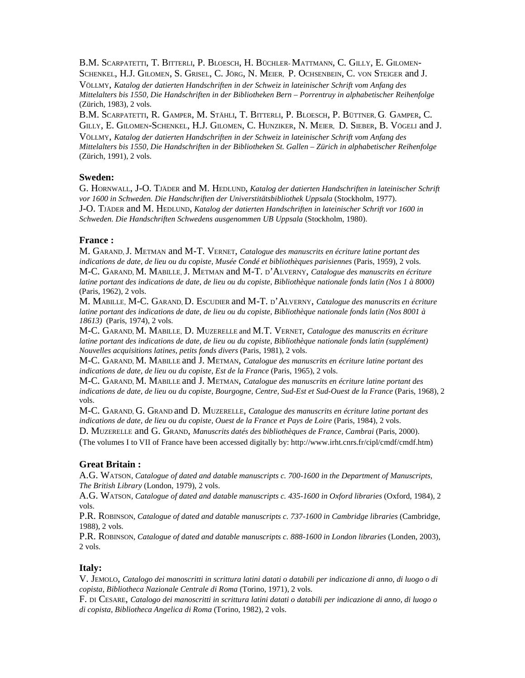B.M. SCARPATETTI, T. BITTERLI, P. BLOESCH, H. BÜCHLER- MATTMANN, C. GILLY, E. GILOMEN-SCHENKEL, H.J. GILOMEN, S. GRISEL, C. JÖRG, N. MEIER, P. OCHSENBEIN, C. VON STEIGER and J.

VÖLLMY, *Katalog der datierten Handschriften in der Schweiz in lateinischer Schrift vom Anfang des Mittelalters bis 1550, Die Handschriften in der Bibliotheken Bern – Porrentruy in alphabetischer Reihenfolge* (Zürich, 1983), 2 vols.

B.M. SCARPATETTI, R. GAMPER, M. STÄHLI, T. BITTERLI, P. BLOESCH, P. BÜTTNER, G. GAMPER, C. GILLY, E. GILOMEN-SCHENKEL, H.J. GILOMEN, C. HUNZIKER, N. MEIER, D. SIEBER, B. VÖGELI and J.

VÖLLMY, *Katalog der datierten Handschriften in der Schweiz in lateinischer Schrift vom Anfang des Mittelalters bis 1550, Die Handschriften in der Bibliotheken St. Gallen – Zürich in alphabetischer Reihenfolge* (Zürich, 1991), 2 vols.

## **Sweden:**

G. HORNWALL, J-O. TJÄDER and M. HEDLUND, *Katalog der datierten Handschriften in lateinischer Schrift vor 1600 in Schweden. Die Handschriften der Universtitätsbibliothek Uppsala* (Stockholm, 1977). J-O. TJÄDER and M. HEDLUND, *Katalog der datierten Handschriften in lateinischer Schrift vor 1600 in Schweden. Die Handschriften Schwedens ausgenommen UB Uppsala* (Stockholm, 1980).

## **France :**

M. GARAND, J. METMAN and M-T. VERNET, *Catalogue des manuscrits en écriture latine portant des indications de date, de lieu ou du copiste, Musée Condé et bibliothèques parisiennes (Paris, 1959), 2 vols.* M-C. GARAND, M. MABILLE, J. METMAN and M-T. D'ALVERNY, *Catalogue des manuscrits en écriture latine portant des indications de date, de lieu ou du copiste, Bibliothèque nationale fonds latin (Nos 1 à 8000)* (Paris, 1962), 2 vols.

M. MABILLE, M-C. GARAND, D. ESCUDIER and M-T. D'ALVERNY, *Catalogue des manuscrits en écriture latine portant des indications de date, de lieu ou du copiste, Bibliothèque nationale fonds latin (Nos 8001 à 18613)* (Paris, 1974), 2 vols.

M-C. GARAND, M. MABILLE, D. MUZERELLE and M.T. VERNET, *Catalogue des manuscrits en écriture latine portant des indications de date, de lieu ou du copiste, Bibliothèque nationale fonds latin (supplément) Nouvelles acquisitions latines, petits fonds divers* (Paris, 1981), 2 vols.

M-C. GARAND, M. MABILLE and J. METMAN, *Catalogue des manuscrits en écriture latine portant des indications de date, de lieu ou du copiste, Est de la France* (Paris, 1965), 2 vols.

M-C. GARAND, M. MABILLE and J. METMAN, *Catalogue des manuscrits en écriture latine portant des indications de date, de lieu ou du copiste, Bourgogne, Centre, Sud-Est et Sud-Ouest de la France* (Paris, 1968), 2 vols.

M-C. GARAND, G. GRAND and D. MUZERELLE, *Catalogue des manuscrits en écriture latine portant des indications de date, de lieu ou du copiste, Ouest de la France et Pays de Loire* (Paris, 1984), 2 vols.

D. MUZERELLE and G. GRAND, *Manuscrits datés des bibliothèques de France, Cambrai* (Paris, 2000).

(The volumes I to VII of France have been accessed digitally by: http://www.irht.cnrs.fr/cipl/cmdf/cmdf.htm)

## **Great Britain :**

A.G. WATSON, *Catalogue of dated and datable manuscripts c. 700-1600 in the Department of Manuscripts, The British Library* (London, 1979), 2 vols.

A.G. WATSON, *Catalogue of dated and datable manuscripts c. 435-1600 in Oxford libraries* (Oxford, 1984), 2 vols.

P.R. ROBINSON, *Catalogue of dated and datable manuscripts c. 737-1600 in Cambridge libraries* (Cambridge, 1988), 2 vols.

P.R. ROBINSON, *Catalogue of dated and datable manuscripts c. 888-1600 in London libraries* (Londen, 2003), 2 vols.

## **Italy:**

V. JEMOLO, *Catalogo dei manoscritti in scrittura latini datati o databili per indicazione di anno, di luogo o di copista, Bibliotheca Nazionale Centrale di Roma* (Torino, 1971), 2 vols.

F. DI CESARE, *Catalogo dei manoscritti in scrittura latini datati o databili per indicazione di anno, di luogo o di copista, Bibliotheca Angelica di Roma* (Torino, 1982), 2 vols.